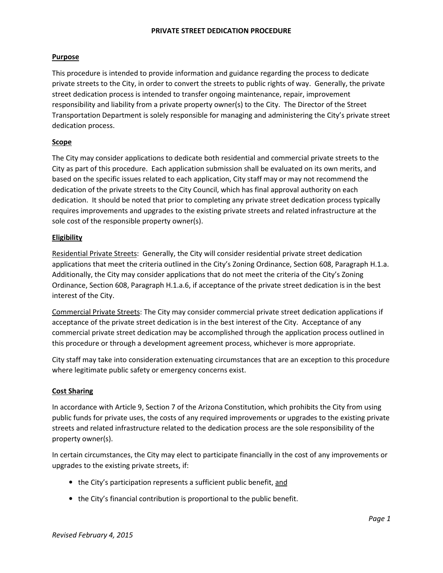## Purpose

This procedure is intended to provide information and guidance regarding the process to dedicate private streets to the City, in order to convert the streets to public rights of way. Generally, the private street dedication process is intended to transfer ongoing maintenance, repair, improvement responsibility and liability from a private property owner(s) to the City. The Director of the Street Transportation Department is solely responsible for managing and administering the City's private street dedication process.

## Scope

The City may consider applications to dedicate both residential and commercial private streets to the City as part of this procedure. Each application submission shall be evaluated on its own merits, and based on the specific issues related to each application, City staff may or may not recommend the dedication of the private streets to the City Council, which has final approval authority on each dedication. It should be noted that prior to completing any private street dedication process typically requires improvements and upgrades to the existing private streets and related infrastructure at the sole cost of the responsible property owner(s).

## **Eligibility**

Residential Private Streets: Generally, the City will consider residential private street dedication applications that meet the criteria outlined in the City's Zoning Ordinance, Section 608, Paragraph H.1.a. Additionally, the City may consider applications that do not meet the criteria of the City's Zoning Ordinance, Section 608, Paragraph H.1.a.6, if acceptance of the private street dedication is in the best interest of the City.

Commercial Private Streets: The City may consider commercial private street dedication applications if acceptance of the private street dedication is in the best interest of the City. Acceptance of any commercial private street dedication may be accomplished through the application process outlined in this procedure or through a development agreement process, whichever is more appropriate.

City staff may take into consideration extenuating circumstances that are an exception to this procedure where legitimate public safety or emergency concerns exist.

## Cost Sharing

In accordance with Article 9, Section 7 of the Arizona Constitution, which prohibits the City from using public funds for private uses, the costs of any required improvements or upgrades to the existing private streets and related infrastructure related to the dedication process are the sole responsibility of the property owner(s).

In certain circumstances, the City may elect to participate financially in the cost of any improvements or upgrades to the existing private streets, if:

- the City's participation represents a sufficient public benefit, and
- the City's financial contribution is proportional to the public benefit.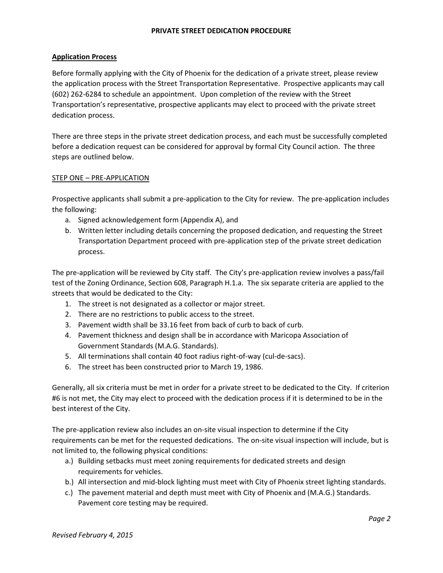## Application Process

Before formally applying with the City of Phoenix for the dedication of a private street, please review the application process with the Street Transportation Representative. Prospective applicants may call (602) 262-6284 to schedule an appointment. Upon completion of the review with the Street Transportation's representative, prospective applicants may elect to proceed with the private street dedication process.

There are three steps in the private street dedication process, and each must be successfully completed before a dedication request can be considered for approval by formal City Council action. The three steps are outlined below.

#### STEP ONE – PRE-APPLICATION

Prospective applicants shall submit a pre-application to the City for review. The pre-application includes the following:

- a. Signed acknowledgement form (Appendix A), and
- b. Written letter including details concerning the proposed dedication, and requesting the Street Transportation Department proceed with pre-application step of the private street dedication process.

The pre-application will be reviewed by City staff. The City's pre-application review involves a pass/fail test of the Zoning Ordinance, Section 608, Paragraph H.1.a. The six separate criteria are applied to the streets that would be dedicated to the City:

- 1. The street is not designated as a collector or major street.
- 2. There are no restrictions to public access to the street.
- 3. Pavement width shall be 33.16 feet from back of curb to back of curb.
- 4. Pavement thickness and design shall be in accordance with Maricopa Association of Government Standards (M.A.G. Standards).
- 5. All terminations shall contain 40 foot radius right-of-way (cul-de-sacs).
- 6. The street has been constructed prior to March 19, 1986.

Generally, all six criteria must be met in order for a private street to be dedicated to the City. If criterion #6 is not met, the City may elect to proceed with the dedication process if it is determined to be in the best interest of the City.

The pre-application review also includes an on-site visual inspection to determine if the City requirements can be met for the requested dedications. The on-site visual inspection will include, but is not limited to, the following physical conditions:

- a.) Building setbacks must meet zoning requirements for dedicated streets and design requirements for vehicles.
- b.) All intersection and mid-block lighting must meet with City of Phoenix street lighting standards.
- c.) The pavement material and depth must meet with City of Phoenix and (M.A.G.) Standards. Pavement core testing may be required.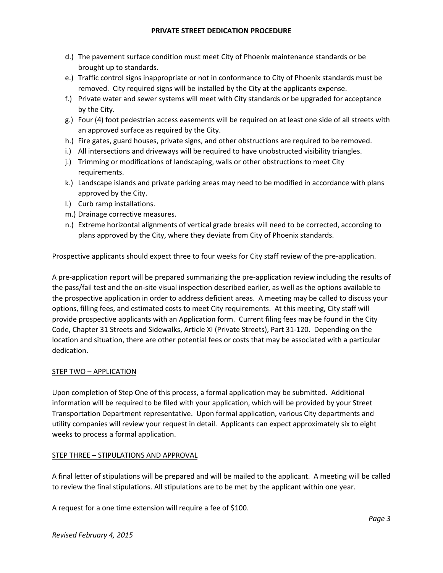- d.) The pavement surface condition must meet City of Phoenix maintenance standards or be brought up to standards.
- e.) Traffic control signs inappropriate or not in conformance to City of Phoenix standards must be removed. City required signs will be installed by the City at the applicants expense.
- f.) Private water and sewer systems will meet with City standards or be upgraded for acceptance by the City.
- g.) Four (4) foot pedestrian access easements will be required on at least one side of all streets with an approved surface as required by the City.
- h.) Fire gates, guard houses, private signs, and other obstructions are required to be removed.
- i.) All intersections and driveways will be required to have unobstructed visibility triangles.
- j.) Trimming or modifications of landscaping, walls or other obstructions to meet City requirements.
- k.) Landscape islands and private parking areas may need to be modified in accordance with plans approved by the City.
- l.) Curb ramp installations.
- m.) Drainage corrective measures.
- n.) Extreme horizontal alignments of vertical grade breaks will need to be corrected, according to plans approved by the City, where they deviate from City of Phoenix standards.

Prospective applicants should expect three to four weeks for City staff review of the pre-application.

A pre-application report will be prepared summarizing the pre-application review including the results of the pass/fail test and the on-site visual inspection described earlier, as well as the options available to the prospective application in order to address deficient areas. A meeting may be called to discuss your options, filling fees, and estimated costs to meet City requirements. At this meeting, City staff will provide prospective applicants with an Application form. Current filing fees may be found in the City Code, Chapter 31 Streets and Sidewalks, Article XI (Private Streets), Part 31-120. Depending on the location and situation, there are other potential fees or costs that may be associated with a particular dedication.

## STEP TWO – APPLICATION

Upon completion of Step One of this process, a formal application may be submitted. Additional information will be required to be filed with your application, which will be provided by your Street Transportation Department representative. Upon formal application, various City departments and utility companies will review your request in detail. Applicants can expect approximately six to eight weeks to process a formal application.

## STEP THREE – STIPULATIONS AND APPROVAL

A final letter of stipulations will be prepared and will be mailed to the applicant. A meeting will be called to review the final stipulations. All stipulations are to be met by the applicant within one year.

A request for a one time extension will require a fee of \$100.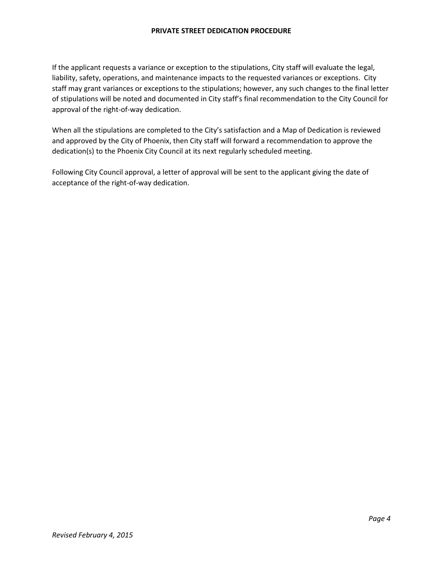If the applicant requests a variance or exception to the stipulations, City staff will evaluate the legal, liability, safety, operations, and maintenance impacts to the requested variances or exceptions. City staff may grant variances or exceptions to the stipulations; however, any such changes to the final letter of stipulations will be noted and documented in City staff's final recommendation to the City Council for approval of the right-of-way dedication.

When all the stipulations are completed to the City's satisfaction and a Map of Dedication is reviewed and approved by the City of Phoenix, then City staff will forward a recommendation to approve the dedication(s) to the Phoenix City Council at its next regularly scheduled meeting.

Following City Council approval, a letter of approval will be sent to the applicant giving the date of acceptance of the right-of-way dedication.